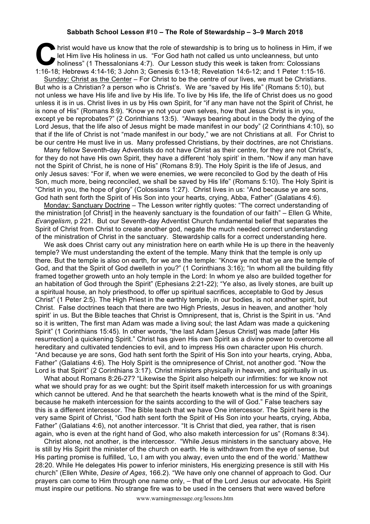## **Sabbath School Lesson #10 – The Role of Stewardship – 3–9 March 2018**

hrist would have us know that the role of stewardship is to bring us to holiness in Him, if we let Him live His holiness in us. "For God hath not called us unto uncleanness, but unto holiness" (1 Thessalonians 4:7). Our Le let Him live His holiness in us. "For God hath not called us unto uncleanness, but unto holiness" (1 Thessalonians 4:7). Our Lesson study this week is taken from: Colossians 1:16-18; Hebrews 4:14-16; 3 John 3; Genesis 6:13-18; Revelation 14:6-12; and 1 Peter 1:15-16.

Sunday: Christ as the Center – For Christ to be the centre of our lives, we must be Christians. But who is a Christian? a person who is Christ's. We are "saved by His life" (Romans 5:10), but not unless we have His life and live by His life. To live by His life, the life of Christ does us no good unless it is in us. Christ lives in us by His own Spirit, for "if any man have not the Spirit of Christ, he is none of His" (Romans 8:9). "Know ye not your own selves, how that Jesus Christ is in you, except ye be reprobates?" (2 Corinthians 13:5). "Always bearing about in the body the dying of the Lord Jesus, that the life also of Jesus might be made manifest in our body" (2 Corinthians 4:10), so that if the life of Christ is not "made manifest in our body," we are not Christians at all. For Christ to be our centre He must live in us. Many professed Christians, by their doctrines, are not Christians.

Many fellow Seventh-day Adventists do not have Christ as their centre, for they are not Christ's, for they do not have His own Spirit, they have a different 'holy spirit' in them. "Now if any man have not the Spirit of Christ, he is none of His" (Romans 8:9). The Holy Spirit is the life of Jesus, and only Jesus saves: "For if, when we were enemies, we were reconciled to God by the death of His Son, much more, being reconciled, we shall be saved by His life" (Romans 5:10). The Holy Spirit is "Christ in you, the hope of glory" (Colossians 1:27). Christ lives in us: "And because ye are sons, God hath sent forth the Spirit of His Son into your hearts, crying, Abba, Father" (Galatians 4:6).

Monday: Sanctuary Doctrine – The Lesson writer rightly quotes: "The correct understanding of the ministration [of Christ] in the heavenly sanctuary is the foundation of our faith" – Ellen G White, *Evangelism*, p 221. But our Seventh-day Adventist Church fundamental belief that separates the Spirit of Christ from Christ to create another god, negate the much needed correct understanding of the ministration of Christ in the sanctuary. Stewardship calls for a correct understanding here.

We ask does Christ carry out any ministration here on earth while He is up there in the heavenly temple? We must understanding the extent of the temple. Many think that the temple is only up there. But the temple is also on earth, for we are the temple: "Know ye not that ye are the temple of God, and that the Spirit of God dwelleth in you?" (1 Corinthians 3:16); "In whom all the building fitly framed together groweth unto an holy temple in the Lord: In whom ye also are builded together for an habitation of God through the Spirit" (Ephesians 2:21-22); "Ye also, as lively stones, are built up a spiritual house, an holy priesthood, to offer up spiritual sacrifices, acceptable to God by Jesus Christ" (1 Peter 2:5). The High Priest in the earthly temple, in our bodies, is not another spirit, but Christ. False doctrines teach that there are two High Priests, Jesus in heaven, and another 'holy spirit' in us. But the Bible teaches that Christ is Omnipresent, that is, Christ is the Spirit in us. "And so it is written, The first man Adam was made a living soul; the last Adam was made a quickening Spirit" (1 Corinthians 15:45). In other words, "the last Adam [Jesus Christ] was made [after His resurrection] a quickening Spirit." Christ has given His own Spirit as a divine power to overcome all hereditary and cultivated tendencies to evil, and to impress His own character upon His church. "And because ye are sons, God hath sent forth the Spirit of His Son into your hearts, crying, Abba, Father" (Galatians 4:6). The Holy Spirit is the omnipresence of Christ, not another god. "Now the Lord is that Spirit" (2 Corinthians 3:17). Christ ministers physically in heaven, and spiritually in us.

What about Romans 8:26-27? "Likewise the Spirit also helpeth our infirmities: for we know not what we should pray for as we ought: but the Spirit itself maketh intercession for us with groanings which cannot be uttered. And he that searcheth the hearts knoweth what is the mind of the Spirit, because he maketh intercession for the saints according to the will of God." False teachers say this is a different intercessor. The Bible teach that we have One intercessor. The Spirit here is the very same Spirit of Christ, "God hath sent forth the Spirit of His Son into your hearts, crying, Abba, Father" (Galatians 4:6), not another intercessor. "It is Christ that died, yea rather, that is risen again, who is even at the right hand of God, who also maketh intercession for us" (Romans 8:34).

Christ alone, not another, is the intercessor. "While Jesus ministers in the sanctuary above, He is still by His Spirit the minister of the church on earth. He is withdrawn from the eye of sense, but His parting promise is fulfilled, 'Lo, I am with you alway, even unto the end of the world.' Matthew 28:20. While He delegates His power to inferior ministers, His energizing presence is still with His church" (Ellen White, *Desire of Ages*, 166.2). "We have only one channel of approach to God. Our prayers can come to Him through one name only, – that of the Lord Jesus our advocate. His Spirit must inspire our petitions. No strange fire was to be used in the censers that were waved before